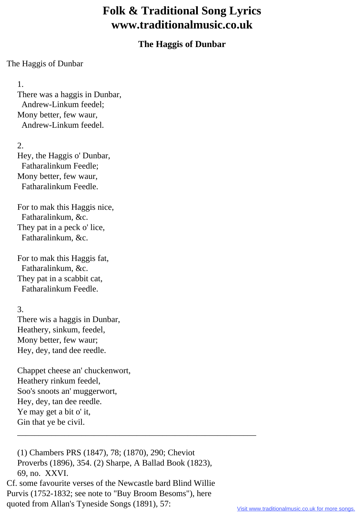## **Folk & Traditional Song Lyrics www.traditionalmusic.co.uk**

## **The Haggis of Dunbar**

## The Haggis of Dunbar

1.

 There was a haggis in Dunbar, Andrew-Linkum feedel; Mony better, few waur, Andrew-Linkum feedel.

2.

 Hey, the Haggis o' Dunbar, Fatharalinkum Feedle; Mony better, few waur, Fatharalinkum Feedle.

 For to mak this Haggis nice, Fatharalinkum, &c. They pat in a peck o' lice, Fatharalinkum, &c.

 For to mak this Haggis fat, Fatharalinkum, &c. They pat in a scabbit cat, Fatharalinkum Feedle.

3.

 There wis a haggis in Dunbar, Heathery, sinkum, feedel, Mony better, few waur; Hey, dey, tand dee reedle.

 Chappet cheese an' chuckenwort, Heathery rinkum feedel, Soo's snoots an' muggerwort, Hey, dey, tan dee reedle. Ye may get a bit o' it, Gin that ye be civil.

 (1) Chambers PRS (1847), 78; (1870), 290; Cheviot Proverbs (1896), 354. (2) Sharpe, A Ballad Book (1823), 69, no. XXVI. Cf. some favourite verses of the Newcastle bard Blind Willie Purvis (1752-1832; see note to "Buy Broom Besoms"), here quoted from Allan's Tyneside Songs (1891), 57:

\_\_\_\_\_\_\_\_\_\_\_\_\_\_\_\_\_\_\_\_\_\_\_\_\_\_\_\_\_\_\_\_\_\_\_\_\_\_\_\_\_\_\_\_\_\_\_\_\_\_\_\_\_\_\_\_